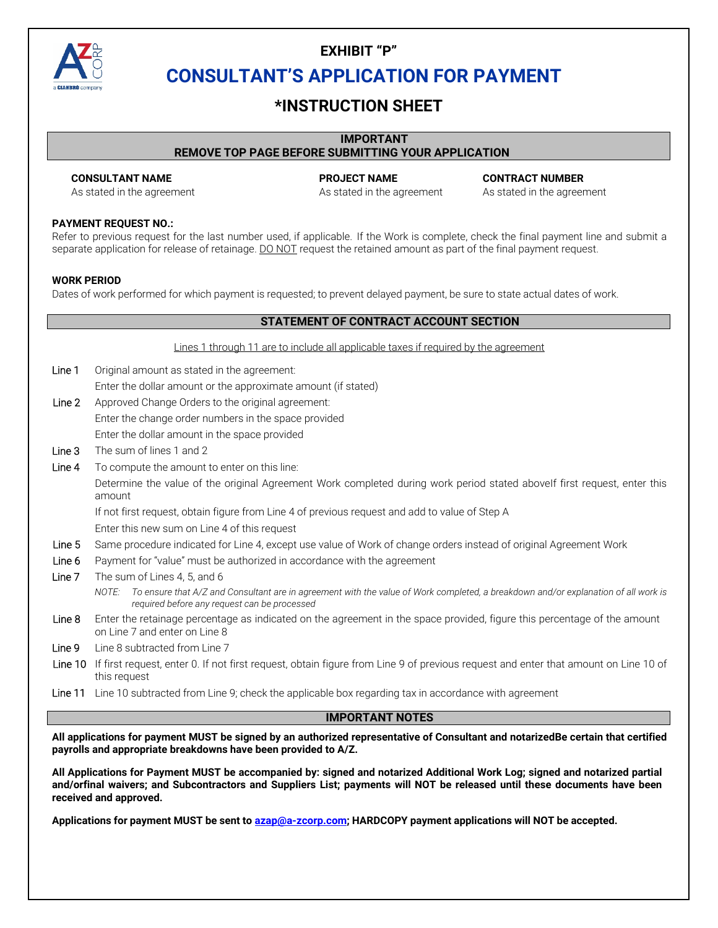

### **EXHIBIT "P" CONSULTANT'S APPLICATION FOR PAYMENT**

### **\*INSTRUCTION SHEET**

#### **IMPORTANT**

#### **REMOVE TOP PAGE BEFORE SUBMITTING YOUR APPLICATION**

**CONSULTANT NAME PROJECT NAME CONTRACT NUMBER**  As stated in the agreement As stated in the agreement As stated in the agreement

#### **PAYMENT REQUEST NO.:**

Refer to previous request for the last number used, if applicable. If the Work is complete, check the final payment line and submit a separate application for release of retainage. DO NOT request the retained amount as part of the final payment request.

#### **WORK PERIOD**

Dates of work performed for which payment is requested; to prevent delayed payment, be sure to state actual dates of work.

|         | STATEMENT OF CONTRACT ACCOUNT SECTION                                                                                                                                                       |  |  |  |  |  |  |
|---------|---------------------------------------------------------------------------------------------------------------------------------------------------------------------------------------------|--|--|--|--|--|--|
|         | Lines 1 through 11 are to include all applicable taxes if required by the agreement                                                                                                         |  |  |  |  |  |  |
| Line 1  | Original amount as stated in the agreement:                                                                                                                                                 |  |  |  |  |  |  |
|         | Enter the dollar amount or the approximate amount (if stated)                                                                                                                               |  |  |  |  |  |  |
| Line 2  | Approved Change Orders to the original agreement:                                                                                                                                           |  |  |  |  |  |  |
|         | Enter the change order numbers in the space provided                                                                                                                                        |  |  |  |  |  |  |
|         | Enter the dollar amount in the space provided                                                                                                                                               |  |  |  |  |  |  |
| Line 3  | The sum of lines 1 and 2                                                                                                                                                                    |  |  |  |  |  |  |
| Line 4  | To compute the amount to enter on this line:                                                                                                                                                |  |  |  |  |  |  |
|         | Determine the value of the original Agreement Work completed during work period stated abovelf first request, enter this<br>amount                                                          |  |  |  |  |  |  |
|         | If not first request, obtain figure from Line 4 of previous request and add to value of Step A                                                                                              |  |  |  |  |  |  |
|         | Enter this new sum on Line 4 of this request                                                                                                                                                |  |  |  |  |  |  |
| Line 5  | Same procedure indicated for Line 4, except use value of Work of change orders instead of original Agreement Work                                                                           |  |  |  |  |  |  |
| Line 6  | Payment for "value" must be authorized in accordance with the agreement                                                                                                                     |  |  |  |  |  |  |
| Line 7  | The sum of Lines 4, 5, and 6                                                                                                                                                                |  |  |  |  |  |  |
|         | To ensure that A/Z and Consultant are in agreement with the value of Work completed, a breakdown and/or explanation of all work is<br>NOTE:<br>required before any request can be processed |  |  |  |  |  |  |
| Line 8  | Enter the retainage percentage as indicated on the agreement in the space provided, figure this percentage of the amount<br>on Line 7 and enter on Line 8                                   |  |  |  |  |  |  |
| Line 9  | Line 8 subtracted from Line 7                                                                                                                                                               |  |  |  |  |  |  |
| Line 10 | If first request, enter 0. If not first request, obtain figure from Line 9 of previous request and enter that amount on Line 10 of<br>this request                                          |  |  |  |  |  |  |

Line 11 Line 10 subtracted from Line 9; check the applicable box regarding tax in accordance with agreement

### **IMPORTANT NOTES**

**All applications for payment MUST be signed by an authorized representative of Consultant and notarized Be certain that certified payrolls and appropriate breakdowns have been provided to A/Z.** 

**All Applications for Payment MUST be accompanied by: signed and notarized Additional Work Log; signed and notarized partial and/or final waivers; and Subcontractors and Suppliers List; payments will NOT be released until these documents have been received and approved.** 

**Applications for payment MUST be sent to azap@a-zcorp.com; HARDCOPY payment applications will NOT be accepted.**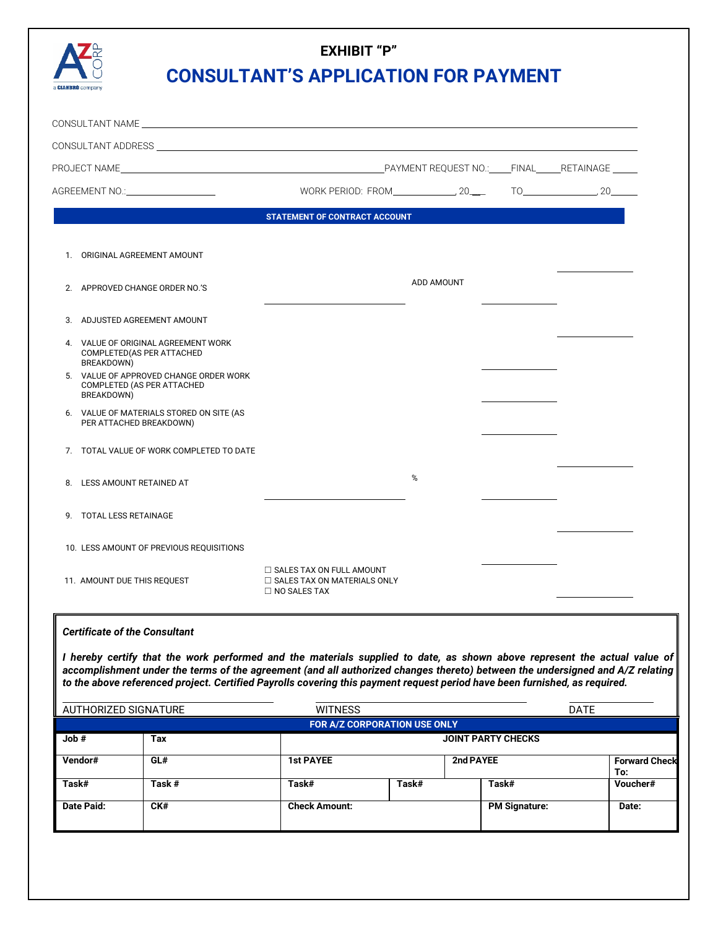

# **EXHIBIT "P" CONSULTANT'S APPLICATION FOR PAYMENT**

|                                                                                    | <b>STATEMENT OF CONTRACT ACCOUNT</b>                                                         |            |  |
|------------------------------------------------------------------------------------|----------------------------------------------------------------------------------------------|------------|--|
| 1. ORIGINAL AGREEMENT AMOUNT                                                       |                                                                                              |            |  |
| 2. APPROVED CHANGE ORDER NO.'S                                                     |                                                                                              | ADD AMOUNT |  |
| 3. ADJUSTED AGREEMENT AMOUNT                                                       |                                                                                              |            |  |
| 4. VALUE OF ORIGINAL AGREEMENT WORK<br>COMPLETED (AS PER ATTACHED<br>BREAKDOWN)    |                                                                                              |            |  |
| 5. VALUE OF APPROVED CHANGE ORDER WORK<br>COMPLETED (AS PER ATTACHED<br>BREAKDOWN) |                                                                                              |            |  |
| 6. VALUE OF MATERIALS STORED ON SITE (AS<br>PER ATTACHED BREAKDOWN)                |                                                                                              |            |  |
| 7. TOTAL VALUE OF WORK COMPLETED TO DATE                                           |                                                                                              |            |  |
| 8. LESS AMOUNT RETAINED AT                                                         |                                                                                              | %          |  |
| 9. TOTAL LESS RETAINAGE                                                            |                                                                                              |            |  |
| 10. LESS AMOUNT OF PREVIOUS REQUISITIONS                                           |                                                                                              |            |  |
| 11. AMOUNT DUE THIS REQUEST                                                        | $\Box$ SALES TAX ON FULL AMOUNT<br>$\Box$ SALES TAX ON MATERIALS ONLY<br>$\Box$ NO SALES TAX |            |  |

#### *Certificate of the Consultant*

*I hereby certify that the work performed and the materials supplied to date, as shown above represent the actual value of accomplishment under the terms of the agreement (and all authorized changes thereto) between the undersigned and A/Z relating to the above referenced project. Certified Payrolls covering this payment request period have been furnished, as required.* 

| $\parallel$ AUTHORIZED SIGNATURE |                              | <b>WITNESS</b>       |                           |                      | <b>DATE</b>                 |  |  |  |
|----------------------------------|------------------------------|----------------------|---------------------------|----------------------|-----------------------------|--|--|--|
|                                  | FOR A/Z CORPORATION USE ONLY |                      |                           |                      |                             |  |  |  |
| Job #                            | Tax                          |                      | <b>JOINT PARTY CHECKS</b> |                      |                             |  |  |  |
| Vendor#                          | GL#                          | <b>1st PAYEE</b>     |                           | 2nd PAYEE            | <b>Forward Check</b><br>To: |  |  |  |
| Task#                            | Task #                       | Task#                | Task#                     | Task#                | Voucher#                    |  |  |  |
| Date Paid:                       | CK#                          | <b>Check Amount:</b> |                           | <b>PM Signature:</b> | Date:                       |  |  |  |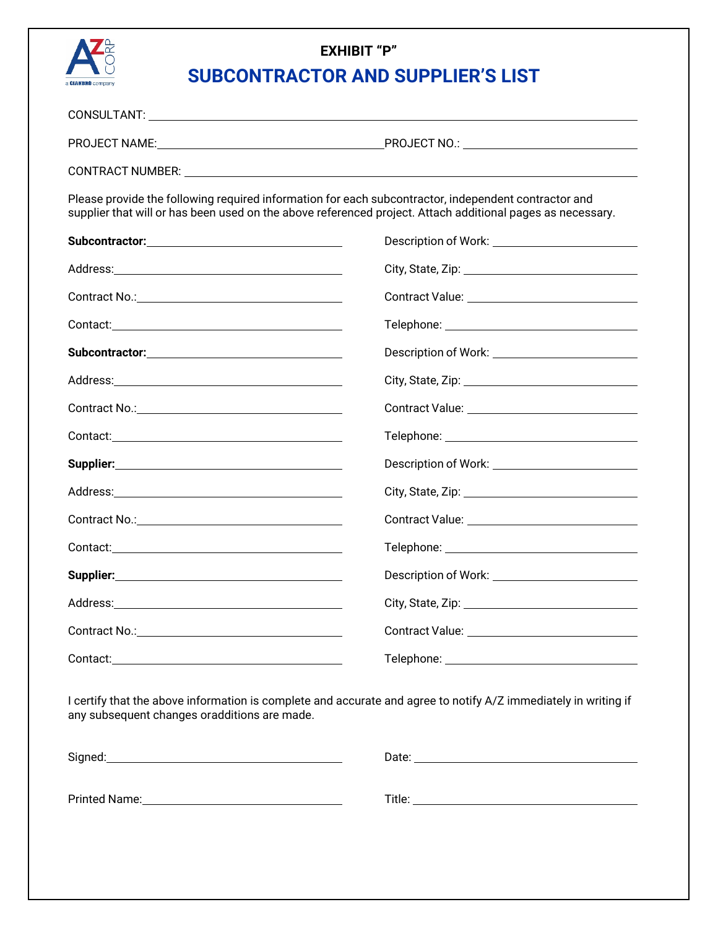

# **EXHIBIT "P" SUBCONTRACTOR AND SUPPLIER'S LIST**

| PROJECT NAME:                                                                                                  | PROJECT NO.: The contract of the contract of the contract of the contract of the contract of the contract of the contract of the contract of the contract of the contract of the contract of the contract of the contract of t |
|----------------------------------------------------------------------------------------------------------------|--------------------------------------------------------------------------------------------------------------------------------------------------------------------------------------------------------------------------------|
| CONTRACT NUMBER: University of the contract of the contract of the contract of the contract of the contract of |                                                                                                                                                                                                                                |
|                                                                                                                |                                                                                                                                                                                                                                |

Please provide the following required information for each subcontractor, independent contractor and supplier that will or has been used on the above referenced project. Attach additional pages as necessary.

| Subcontractor: View Management Control of Texas and Texas and Texas and Texas and Texas and Texas and Texas and Texas and Texas and Texas and Texas and Texas and Texas and Texas and Texas and Texas and Texas and Texas and | Description of Work: __________________________   |
|-------------------------------------------------------------------------------------------------------------------------------------------------------------------------------------------------------------------------------|---------------------------------------------------|
|                                                                                                                                                                                                                               |                                                   |
|                                                                                                                                                                                                                               |                                                   |
|                                                                                                                                                                                                                               |                                                   |
|                                                                                                                                                                                                                               |                                                   |
|                                                                                                                                                                                                                               |                                                   |
|                                                                                                                                                                                                                               |                                                   |
|                                                                                                                                                                                                                               |                                                   |
|                                                                                                                                                                                                                               | Description of Work: ____________________________ |
|                                                                                                                                                                                                                               |                                                   |
|                                                                                                                                                                                                                               |                                                   |
|                                                                                                                                                                                                                               |                                                   |
|                                                                                                                                                                                                                               |                                                   |
|                                                                                                                                                                                                                               |                                                   |
|                                                                                                                                                                                                                               |                                                   |
|                                                                                                                                                                                                                               |                                                   |

I certify that the above information is complete and accurate and agree to notify A/Z immediately in writing if any subsequent changes or additions are made.

| Signed:       | Date:  |
|---------------|--------|
|               |        |
| Printed Name: | Title: |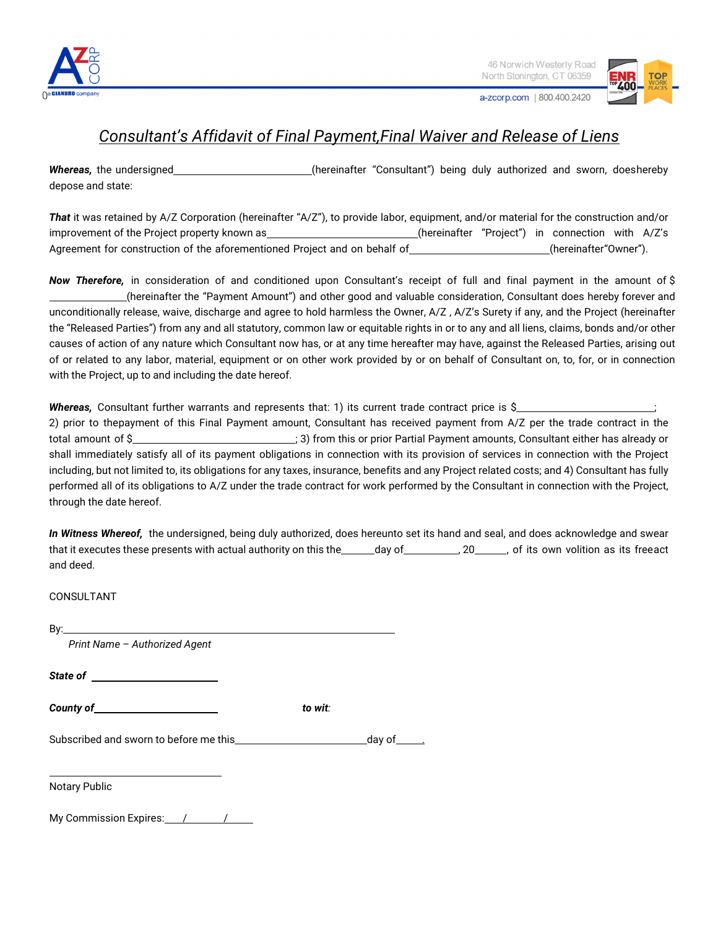

a-zcorp.com | 800.400.2420

## *Consultant's Affidavit of Final Payment, Final Waiver and Release of Liens*

Whereas, the undersigned\_\_\_\_\_\_\_\_\_\_\_\_\_\_\_\_\_\_\_\_\_\_\_(hereinafter "Consultant") being duly authorized and sworn, doeshereby depose and state:

*That* it was retained by A/Z Corporation (hereinafter "A/Z"), to provide labor, equipment, and/or material for the construction and/or improvement of the Project property known as example the example of the einafter "Project") in connection with A/Z's Agreement for construction of the aforementioned Project and on behalf of \_\_\_\_\_\_\_\_\_\_\_\_\_\_\_\_\_\_\_(hereinafter"Owner").

*Now Therefore,* in consideration of and conditioned upon Consultant's receipt of full and final payment in the amount of \$ (hereinafter the "Payment Amount") and other good and valuable consideration, Consultant does hereby forever and unconditionally release, waive, discharge and agree to hold harmless the Owner, A/Z , A/Z's Surety if any, and the Project (hereinafter the "Released Parties") from any and all statutory, common law or equitable rights in or to any and all liens, claims, bonds and/or other causes of action of any nature which Consultant now has, or at any time hereafter may have, against the Released Parties, arising out of or related to any labor, material, equipment or on other work provided by or on behalf of Consultant on, to, for, or in connection with the Project, up to and including the date hereof.

*Whereas, Consultant further warrants and represents that: 1) its current trade contract price is \$* 2) prior to the payment of this Final Payment amount, Consultant has received payment from A/Z per the trade contract in the total amount of \$ shall immediately satisfy all of its payment obligations in connection with its provision of services in connection with the Project including, but not limited to, its obligations for any taxes, insurance, benefits and any Project related costs; and 4) Consultant has fully performed all of its obligations to A/Z under the trade contract for work performed by the Consultant in connection with the Project, through the date hereof.

*In Witness Whereof,* the undersigned, being duly authorized, does hereunto set its hand and seal, and does acknowledge and swear that it executes these presents with actual authority on this the day of , 20 , 20 , of its own volition as its free act and deed.

CONSULTANT

 $\overline{a}$ 

*Print Name – Authorized Agent* 

*State of* 

**County of the county of the county of the county of the country of the country of the country of the country of the country of the country of the country of the country of the country of the country of the country of the** 

Subscribed and sworn to before me this day of the state of the day of

Notary Public

My Commission Expires: 11990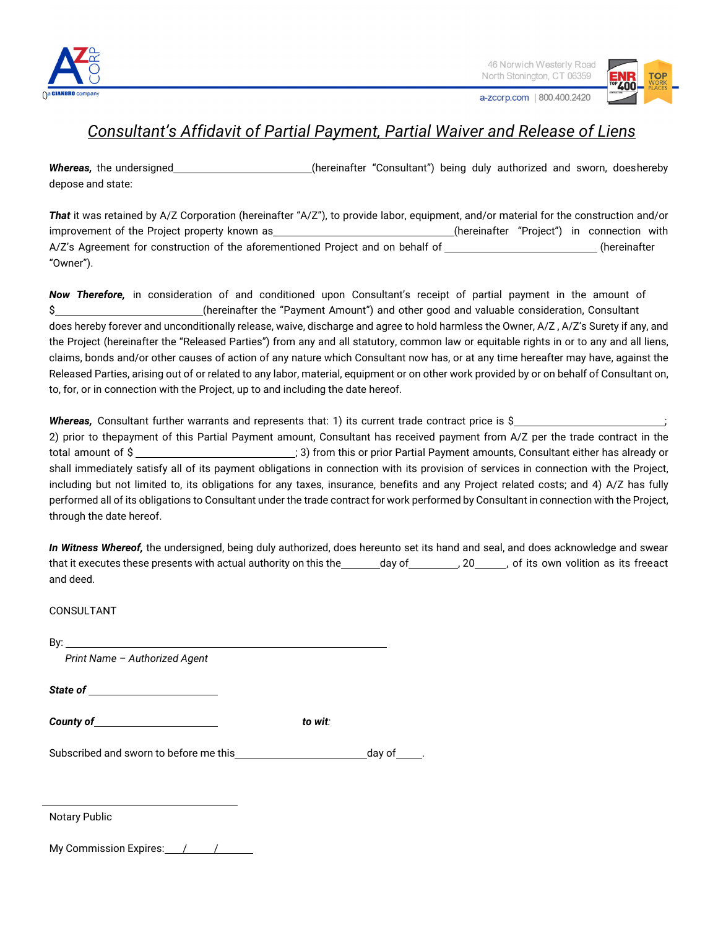

46 Norwich Westerly Road North Stonington, CT 06359

a-zcorp.com | 800.400.2420

### *Consultant's Affidavit of Partial Payment, Partial Waiver and Release of Liens*

Whereas, the undersigned\_\_\_\_\_\_\_\_\_\_\_\_\_\_\_\_\_\_\_\_\_\_\_(hereinafter "Consultant") being duly authorized and sworn, doeshereby depose and state:

*That* it was retained by A/Z Corporation (hereinafter "A/Z"), to provide labor, equipment, and/or material for the construction and/or improvement of the Project property known as (hereinafter "Project") in connection with A/Z's Agreement for construction of the aforementioned Project and on behalf of (hereinafter (hereinafter "Owner").

*Now Therefore,* in consideration of and conditioned upon Consultant's receipt of partial payment in the amount of \$ (hereinafter the "Payment Amount") and other good and valuable consideration, Consultant does hereby forever and unconditionally release, waive, discharge and agree to hold harmless the Owner, A/Z, A/Z's Surety if any, and the Project (hereinafter the "Released Parties") from any and all statutory, common law or equitable rights in or to any and all liens, claims, bonds and/or other causes of action of any nature which Consultant now has, or at any time hereafter may have, against the Released Parties, arising out of or related to any labor, material, equipment or on other work provided by or on behalf of Consultant on, to, for, or in connection with the Project, up to and including the date hereof.

*Whereas, Consultant further warrants and represents that: 1) its current trade contract price is \$* 2) prior to the payment of this Partial Payment amount, Consultant has received payment from A/Z per the trade contract in the total amount of \$<br>
13) from this or prior Partial Payment amounts, Consultant either has already or shall immediately satisfy all of its payment obligations in connection with its provision of services in connection with the Project, including but not limited to, its obligations for any taxes, insurance, benefits and any Project related costs; and 4) A/Z has fully performed all of its obligations to Consultant under the trade contract for work performed by Consultant in connection with the Project, through the date hereof.

*In Witness Whereof,* the undersigned, being duly authorized, does hereunto set its hand and seal, and does acknowledge and swear that it executes these presents with actual authority on this the day of  $\qquad \qquad$  , 20 , of its own volition as its free act and deed.

CONSULTANT

By:

*Print Name – Authorized Agent* 

*State of* 

**County of the county of the county of the country of the country of the country of the country of the country of the country of the country of the country of the country of the country of the country of the country of the** 

Subscribed and sworn to before me this day of .

Notary Public

 $\overline{\phantom{0}}$ 

My Commission Expires: 11